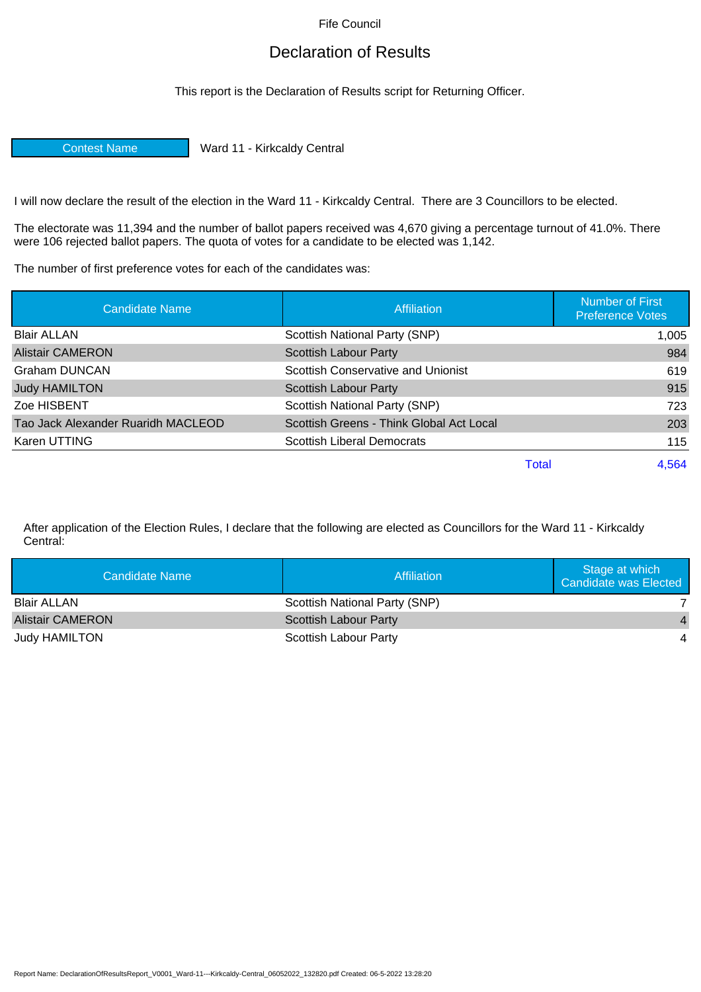Fife Council

## Declaration of Results

This report is the Declaration of Results script for Returning Officer.

Contest Name Ward 11 - Kirkcaldy Central

I will now declare the result of the election in the Ward 11 - Kirkcaldy Central. There are 3 Councillors to be elected.

The electorate was 11,394 and the number of ballot papers received was 4,670 giving a percentage turnout of 41.0%. There were 106 rejected ballot papers. The quota of votes for a candidate to be elected was 1,142.

The number of first preference votes for each of the candidates was:

| <b>Candidate Name</b>              | <b>Affiliation</b>                       |       | <b>Number of First</b><br><b>Preference Votes</b> |
|------------------------------------|------------------------------------------|-------|---------------------------------------------------|
| <b>Blair ALLAN</b>                 | Scottish National Party (SNP)            |       | 1,005                                             |
| <b>Alistair CAMERON</b>            | <b>Scottish Labour Party</b>             |       | 984                                               |
| Graham DUNCAN                      | Scottish Conservative and Unionist       |       | 619                                               |
| <b>Judy HAMILTON</b>               | <b>Scottish Labour Party</b>             |       | 915                                               |
| Zoe HISBENT                        | Scottish National Party (SNP)            |       | 723                                               |
| Tao Jack Alexander Ruaridh MACLEOD | Scottish Greens - Think Global Act Local |       | 203                                               |
| Karen UTTING                       | <b>Scottish Liberal Democrats</b>        |       | 115                                               |
|                                    |                                          | Total | 4.564                                             |

After application of the Election Rules, I declare that the following are elected as Councillors for the Ward 11 - Kirkcaldy Central:

| Candidate Name          | Affiliation                   | Stage at which<br><b>Candidate was Elected</b> |
|-------------------------|-------------------------------|------------------------------------------------|
| <b>Blair ALLAN</b>      | Scottish National Party (SNP) |                                                |
| <b>Alistair CAMERON</b> | Scottish Labour Party         |                                                |
| <b>Judy HAMILTON</b>    | Scottish Labour Party         |                                                |